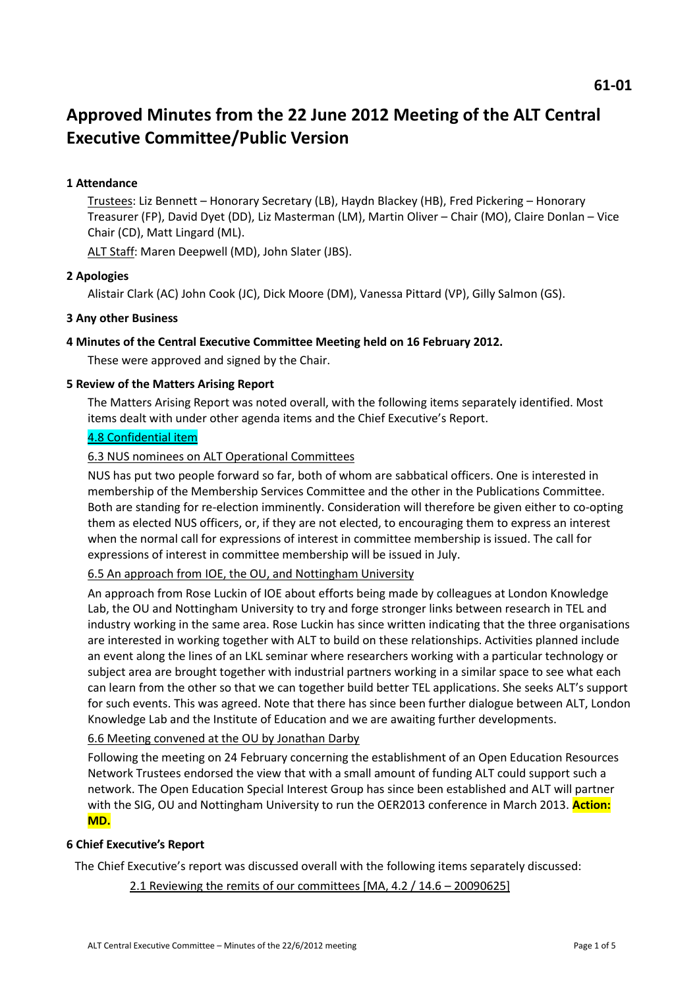# **Approved Minutes from the 22 June 2012 Meeting of the ALT Central Executive Committee/Public Version**

# **1 Attendance**

Trustees: Liz Bennett – Honorary Secretary (LB), Haydn Blackey (HB), Fred Pickering – Honorary Treasurer (FP), David Dyet (DD), Liz Masterman (LM), Martin Oliver – Chair (MO), Claire Donlan – Vice Chair (CD), Matt Lingard (ML).

ALT Staff: Maren Deepwell (MD), John Slater (JBS).

# **2 Apologies**

Alistair Clark (AC) John Cook (JC), Dick Moore (DM), Vanessa Pittard (VP), Gilly Salmon (GS).

# **3 Any other Business**

# **4 Minutes of the Central Executive Committee Meeting held on 16 February 2012.**

These were approved and signed by the Chair.

# **5 Review of the Matters Arising Report**

The Matters Arising Report was noted overall, with the following items separately identified. Most items dealt with under other agenda items and the Chief Executive's Report.

# 4.8 Confidential item

# 6.3 NUS nominees on ALT Operational Committees

NUS has put two people forward so far, both of whom are sabbatical officers. One is interested in membership of the Membership Services Committee and the other in the Publications Committee. Both are standing for re-election imminently. Consideration will therefore be given either to co-opting them as elected NUS officers, or, if they are not elected, to encouraging them to express an interest when the normal call for expressions of interest in committee membership is issued. The call for expressions of interest in committee membership will be issued in July.

# 6.5 An approach from IOE, the OU, and Nottingham University

An approach from Rose Luckin of IOE about efforts being made by colleagues at London Knowledge Lab, the OU and Nottingham University to try and forge stronger links between research in TEL and industry working in the same area. Rose Luckin has since written indicating that the three organisations are interested in working together with ALT to build on these relationships. Activities planned include an event along the lines of an LKL seminar where researchers working with a particular technology or subject area are brought together with industrial partners working in a similar space to see what each can learn from the other so that we can together build better TEL applications. She seeks ALT's support for such events. This was agreed. Note that there has since been further dialogue between ALT, London Knowledge Lab and the Institute of Education and we are awaiting further developments.

### 6.6 Meeting convened at the OU by Jonathan Darby

Following the meeting on 24 February concerning the establishment of an Open Education Resources Network Trustees endorsed the view that with a small amount of funding ALT could support such a network. The Open Education Special Interest Group has since been established and ALT will partner with the SIG, OU and Nottingham University to run the OER2013 conference in March 2013. **Action: MD.**

### **6 Chief Executive's Report**

The Chief Executive's report was discussed overall with the following items separately discussed:

2.1 Reviewing the remits of our committees [MA, 4.2 / 14.6 – 20090625]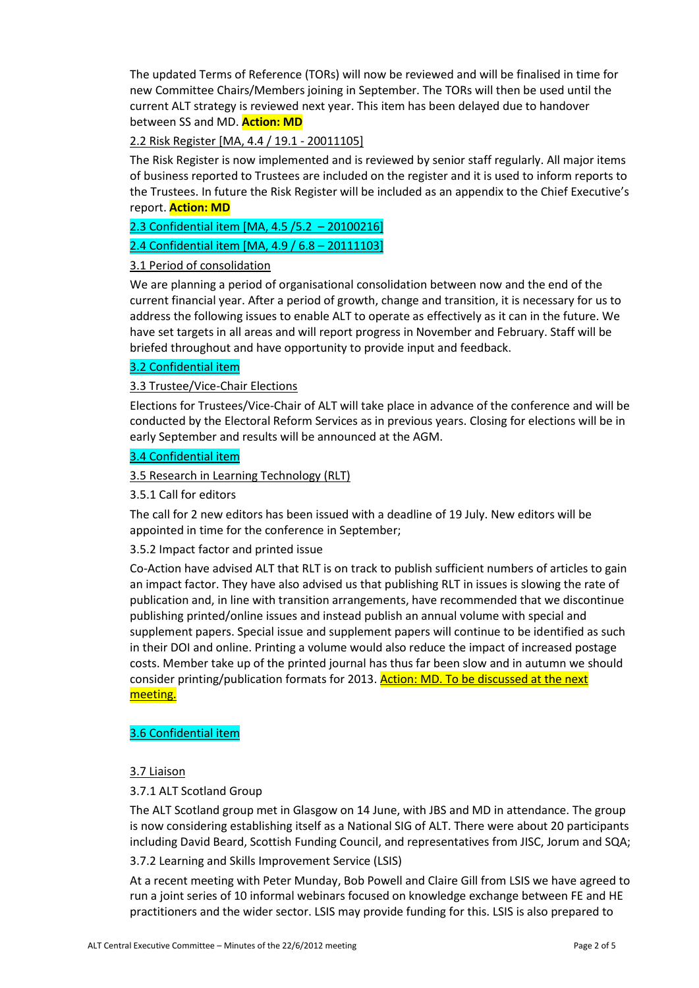The updated Terms of Reference (TORs) will now be reviewed and will be finalised in time for new Committee Chairs/Members joining in September. The TORs will then be used until the current ALT strategy is reviewed next year. This item has been delayed due to handover between SS and MD. **Action: MD**

# 2.2 Risk Register [MA, 4.4 / 19.1 - 20011105]

The Risk Register is now implemented and is reviewed by senior staff regularly. All major items of business reported to Trustees are included on the register and it is used to inform reports to the Trustees. In future the Risk Register will be included as an appendix to the Chief Executive's report. **Action: MD**

2.3 Confidential item [MA, 4.5 /5.2 – 20100216]

2.4 Confidential item [MA, 4.9 / 6.8 – 20111103]

### 3.1 Period of consolidation

We are planning a period of organisational consolidation between now and the end of the current financial year. After a period of growth, change and transition, it is necessary for us to address the following issues to enable ALT to operate as effectively as it can in the future. We have set targets in all areas and will report progress in November and February. Staff will be briefed throughout and have opportunity to provide input and feedback.

# 3.2 Confidential item

### 3.3 Trustee/Vice-Chair Elections

Elections for Trustees/Vice-Chair of ALT will take place in advance of the conference and will be conducted by the Electoral Reform Services as in previous years. Closing for elections will be in early September and results will be announced at the AGM.

# 3.4 Confidential item

3.5 Research in Learning Technology (RLT)

3.5.1 Call for editors

The call for 2 new editors has been issued with a deadline of 19 July. New editors will be appointed in time for the conference in September;

### 3.5.2 Impact factor and printed issue

Co-Action have advised ALT that RLT is on track to publish sufficient numbers of articles to gain an impact factor. They have also advised us that publishing RLT in issues is slowing the rate of publication and, in line with transition arrangements, have recommended that we discontinue publishing printed/online issues and instead publish an annual volume with special and supplement papers. Special issue and supplement papers will continue to be identified as such in their DOI and online. Printing a volume would also reduce the impact of increased postage costs. Member take up of the printed journal has thus far been slow and in autumn we should consider printing/publication formats for 2013. Action: MD. To be discussed at the next meeting.

### 3.6 Confidential item

### 3.7 Liaison

### 3.7.1 ALT Scotland Group

The ALT Scotland group met in Glasgow on 14 June, with JBS and MD in attendance. The group is now considering establishing itself as a National SIG of ALT. There were about 20 participants including David Beard, Scottish Funding Council, and representatives from JISC, Jorum and SQA;

#### 3.7.2 Learning and Skills Improvement Service (LSIS)

At a recent meeting with Peter Munday, Bob Powell and Claire Gill from LSIS we have agreed to run a joint series of 10 informal webinars focused on knowledge exchange between FE and HE practitioners and the wider sector. LSIS may provide funding for this. LSIS is also prepared to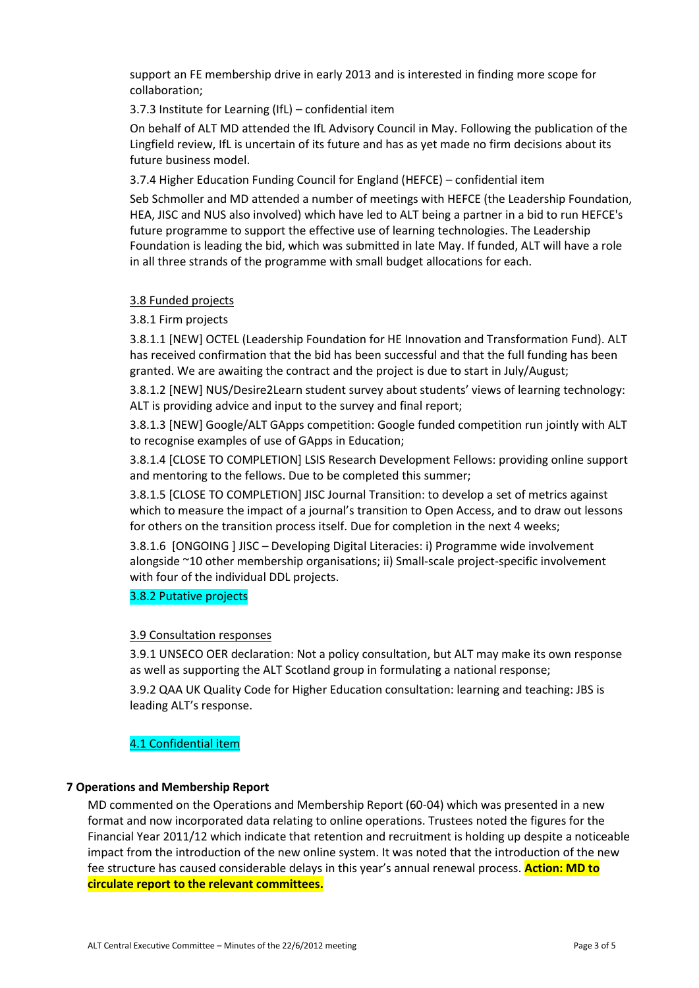support an FE membership drive in early 2013 and is interested in finding more scope for collaboration;

# 3.7.3 Institute for Learning (IfL) – confidential item

On behalf of ALT MD attended the IfL Advisory Council in May. Following the publication of the Lingfield review, IfL is uncertain of its future and has as yet made no firm decisions about its future business model.

3.7.4 Higher Education Funding Council for England (HEFCE) – confidential item

Seb Schmoller and MD attended a number of meetings with HEFCE (the Leadership Foundation, HEA, JISC and NUS also involved) which have led to ALT being a partner in a bid to run HEFCE's future programme to support the effective use of learning technologies. The Leadership Foundation is leading the bid, which was submitted in late May. If funded, ALT will have a role in all three strands of the programme with small budget allocations for each.

# 3.8 Funded projects

# 3.8.1 Firm projects

3.8.1.1 [NEW] OCTEL (Leadership Foundation for HE Innovation and Transformation Fund). ALT has received confirmation that the bid has been successful and that the full funding has been granted. We are awaiting the contract and the project is due to start in July/August;

3.8.1.2 [NEW] NUS/Desire2Learn student survey about students' views of learning technology: ALT is providing advice and input to the survey and final report;

3.8.1.3 [NEW] Google/ALT GApps competition: Google funded competition run jointly with ALT to recognise examples of use of GApps in Education;

3.8.1.4 [CLOSE TO COMPLETION] LSIS Research Development Fellows: providing online support and mentoring to the fellows. Due to be completed this summer;

3.8.1.5 [CLOSE TO COMPLETION] JISC Journal Transition: to develop a set of metrics against which to measure the impact of a journal's transition to Open Access, and to draw out lessons for others on the transition process itself. Due for completion in the next 4 weeks;

3.8.1.6 [ONGOING ] JISC – Developing Digital Literacies: i) Programme wide involvement alongside ~10 other membership organisations; ii) Small-scale project-specific involvement with four of the individual DDL projects.

### 3.8.2 Putative projects

### 3.9 Consultation responses

3.9.1 UNSECO OER declaration: Not a policy consultation, but ALT may make its own response as well as supporting the ALT Scotland group in formulating a national response;

3.9.2 QAA UK Quality Code for Higher Education consultation: learning and teaching: JBS is leading ALT's response.

# 4.1 Confidential item

### **7 Operations and Membership Report**

MD commented on the Operations and Membership Report (60-04) which was presented in a new format and now incorporated data relating to online operations. Trustees noted the figures for the Financial Year 2011/12 which indicate that retention and recruitment is holding up despite a noticeable impact from the introduction of the new online system. It was noted that the introduction of the new fee structure has caused considerable delays in this year's annual renewal process. **Action: MD to circulate report to the relevant committees.**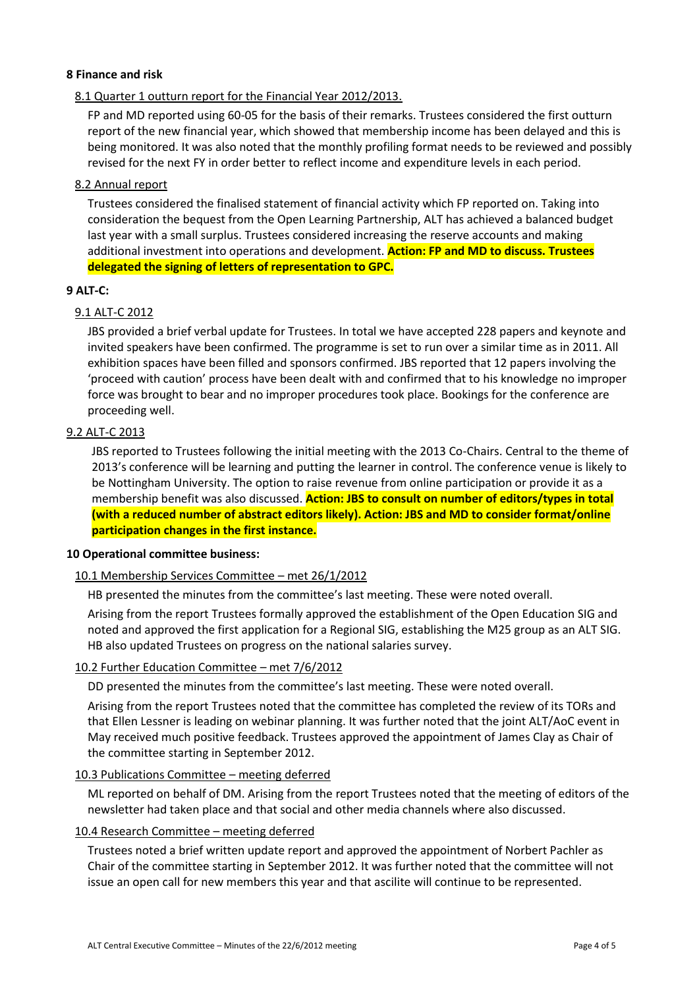### **8 Finance and risk**

### 8.1 Quarter 1 outturn report for the Financial Year 2012/2013.

FP and MD reported using 60-05 for the basis of their remarks. Trustees considered the first outturn report of the new financial year, which showed that membership income has been delayed and this is being monitored. It was also noted that the monthly profiling format needs to be reviewed and possibly revised for the next FY in order better to reflect income and expenditure levels in each period.

### 8.2 Annual report

Trustees considered the finalised statement of financial activity which FP reported on. Taking into consideration the bequest from the Open Learning Partnership, ALT has achieved a balanced budget last year with a small surplus. Trustees considered increasing the reserve accounts and making additional investment into operations and development. **Action: FP and MD to discuss. Trustees delegated the signing of letters of representation to GPC.**

#### **9 ALT-C:**

### 9.1 ALT-C 2012

JBS provided a brief verbal update for Trustees. In total we have accepted 228 papers and keynote and invited speakers have been confirmed. The programme is set to run over a similar time as in 2011. All exhibition spaces have been filled and sponsors confirmed. JBS reported that 12 papers involving the 'proceed with caution' process have been dealt with and confirmed that to his knowledge no improper force was brought to bear and no improper procedures took place. Bookings for the conference are proceeding well.

# 9.2 ALT-C 2013

JBS reported to Trustees following the initial meeting with the 2013 Co-Chairs. Central to the theme of 2013's conference will be learning and putting the learner in control. The conference venue is likely to be Nottingham University. The option to raise revenue from online participation or provide it as a membership benefit was also discussed. **Action: JBS to consult on number of editors/types in total (with a reduced number of abstract editors likely). Action: JBS and MD to consider format/online participation changes in the first instance.**

#### **10 Operational committee business:**

### 10.1 Membership Services Committee – met 26/1/2012

HB presented the minutes from the committee's last meeting. These were noted overall.

Arising from the report Trustees formally approved the establishment of the Open Education SIG and noted and approved the first application for a Regional SIG, establishing the M25 group as an ALT SIG. HB also updated Trustees on progress on the national salaries survey.

#### 10.2 Further Education Committee – met 7/6/2012

DD presented the minutes from the committee's last meeting. These were noted overall.

Arising from the report Trustees noted that the committee has completed the review of its TORs and that Ellen Lessner is leading on webinar planning. It was further noted that the joint ALT/AoC event in May received much positive feedback. Trustees approved the appointment of James Clay as Chair of the committee starting in September 2012.

#### 10.3 Publications Committee – meeting deferred

ML reported on behalf of DM. Arising from the report Trustees noted that the meeting of editors of the newsletter had taken place and that social and other media channels where also discussed.

### 10.4 Research Committee – meeting deferred

Trustees noted a brief written update report and approved the appointment of Norbert Pachler as Chair of the committee starting in September 2012. It was further noted that the committee will not issue an open call for new members this year and that ascilite will continue to be represented.